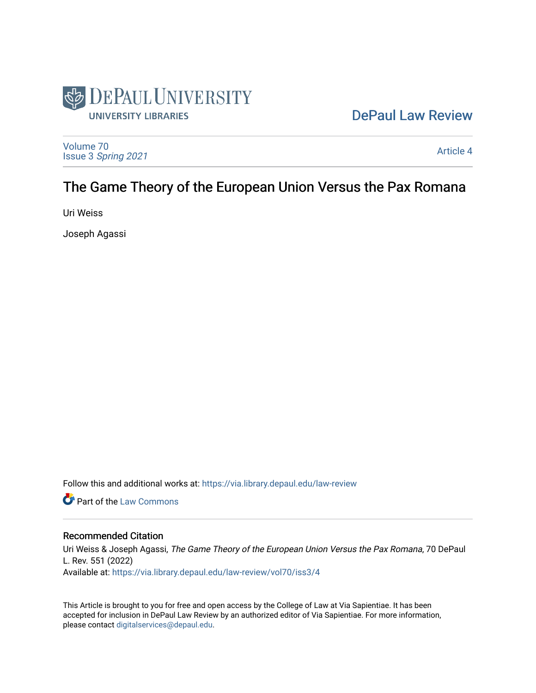

# [DePaul Law Review](https://via.library.depaul.edu/law-review)

[Volume 70](https://via.library.depaul.edu/law-review/vol70) Issue 3 [Spring 2021](https://via.library.depaul.edu/law-review/vol70/iss3) 

[Article 4](https://via.library.depaul.edu/law-review/vol70/iss3/4) 

# The Game Theory of the European Union Versus the Pax Romana

Uri Weiss

Joseph Agassi

Follow this and additional works at: [https://via.library.depaul.edu/law-review](https://via.library.depaul.edu/law-review?utm_source=via.library.depaul.edu%2Flaw-review%2Fvol70%2Fiss3%2F4&utm_medium=PDF&utm_campaign=PDFCoverPages) 

**C** Part of the [Law Commons](http://network.bepress.com/hgg/discipline/578?utm_source=via.library.depaul.edu%2Flaw-review%2Fvol70%2Fiss3%2F4&utm_medium=PDF&utm_campaign=PDFCoverPages)

# Recommended Citation

Uri Weiss & Joseph Agassi, The Game Theory of the European Union Versus the Pax Romana, 70 DePaul L. Rev. 551 (2022) Available at: [https://via.library.depaul.edu/law-review/vol70/iss3/4](https://via.library.depaul.edu/law-review/vol70/iss3/4?utm_source=via.library.depaul.edu%2Flaw-review%2Fvol70%2Fiss3%2F4&utm_medium=PDF&utm_campaign=PDFCoverPages) 

This Article is brought to you for free and open access by the College of Law at Via Sapientiae. It has been accepted for inclusion in DePaul Law Review by an authorized editor of Via Sapientiae. For more information, please contact [digitalservices@depaul.edu.](mailto:digitalservices@depaul.edu)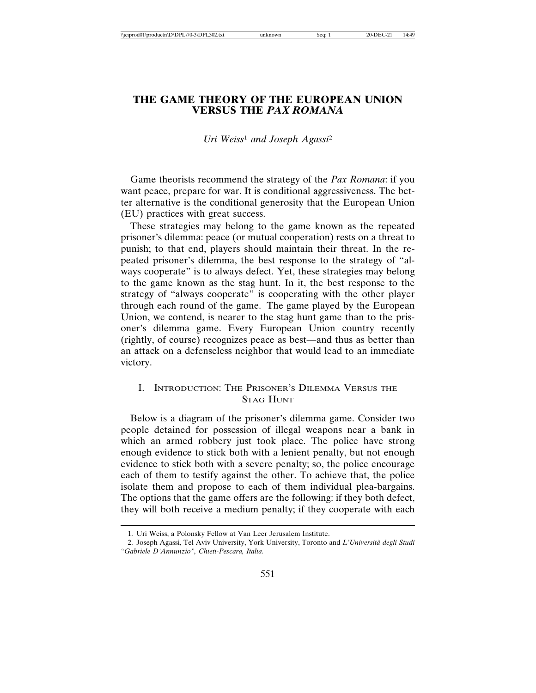# **THE GAME THEORY OF THE EUROPEAN UNION VERSUS THE** *PAX ROMANA*

*Uri Weiss*1 *and Joseph Agassi*<sup>2</sup>

Game theorists recommend the strategy of the *Pax Romana*: if you want peace, prepare for war. It is conditional aggressiveness. The better alternative is the conditional generosity that the European Union (EU) practices with great success.

These strategies may belong to the game known as the repeated prisoner's dilemma: peace (or mutual cooperation) rests on a threat to punish; to that end, players should maintain their threat. In the repeated prisoner's dilemma, the best response to the strategy of "always cooperate" is to always defect. Yet, these strategies may belong to the game known as the stag hunt. In it, the best response to the strategy of "always cooperate" is cooperating with the other player through each round of the game. The game played by the European Union, we contend, is nearer to the stag hunt game than to the prisoner's dilemma game. Every European Union country recently (rightly, of course) recognizes peace as best—and thus as better than an attack on a defenseless neighbor that would lead to an immediate victory.

# I. INTRODUCTION: THE PRISONER'S DILEMMA VERSUS THE STAG HUNT

Below is a diagram of the prisoner's dilemma game. Consider two people detained for possession of illegal weapons near a bank in which an armed robbery just took place. The police have strong enough evidence to stick both with a lenient penalty, but not enough evidence to stick both with a severe penalty; so, the police encourage each of them to testify against the other. To achieve that, the police isolate them and propose to each of them individual plea-bargains. The options that the game offers are the following: if they both defect, they will both receive a medium penalty; if they cooperate with each

<sup>1.</sup> Uri Weiss, a Polonsky Fellow at Van Leer Jerusalem Institute.

<sup>2.</sup> Joseph Agassi, Tel Aviv University, York University, Toronto and *L'Università degli Studi "Gabriele D'Annunzio", Chieti-Pescara, Italia.*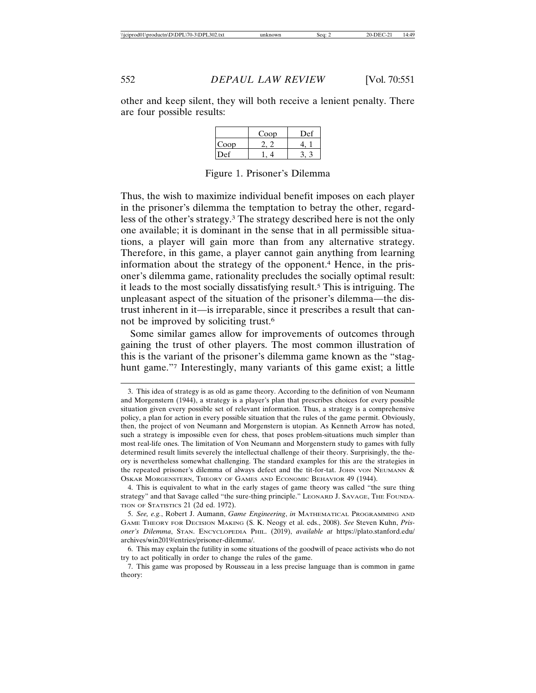other and keep silent, they will both receive a lenient penalty. There are four possible results:

|              | Coop | Def |
|--------------|------|-----|
| Coop         |      |     |
| $\lambda$ ef |      |     |

Figure 1. Prisoner's Dilemma

Thus, the wish to maximize individual benefit imposes on each player in the prisoner's dilemma the temptation to betray the other, regardless of the other's strategy.3 The strategy described here is not the only one available; it is dominant in the sense that in all permissible situations, a player will gain more than from any alternative strategy. Therefore, in this game, a player cannot gain anything from learning information about the strategy of the opponent.4 Hence, in the prisoner's dilemma game, rationality precludes the socially optimal result: it leads to the most socially dissatisfying result.5 This is intriguing. The unpleasant aspect of the situation of the prisoner's dilemma—the distrust inherent in it—is irreparable, since it prescribes a result that cannot be improved by soliciting trust.6

Some similar games allow for improvements of outcomes through gaining the trust of other players. The most common illustration of this is the variant of the prisoner's dilemma game known as the "staghunt game."7 Interestingly, many variants of this game exist; a little

<sup>3.</sup> This idea of strategy is as old as game theory. According to the definition of von Neumann and Morgenstern (1944), a strategy is a player's plan that prescribes choices for every possible situation given every possible set of relevant information. Thus, a strategy is a comprehensive policy, a plan for action in every possible situation that the rules of the game permit. Obviously, then, the project of von Neumann and Morgenstern is utopian. As Kenneth Arrow has noted, such a strategy is impossible even for chess, that poses problem-situations much simpler than most real-life ones. The limitation of Von Neumann and Morgenstern study to games with fully determined result limits severely the intellectual challenge of their theory. Surprisingly, the theory is nevertheless somewhat challenging. The standard examples for this are the strategies in the repeated prisoner's dilemma of always defect and the tit-for-tat. JOHN VON NEUMANN & OSKAR MORGENSTERN, THEORY OF GAMES AND ECONOMIC BEHAVIOR 49 (1944).

<sup>4.</sup> This is equivalent to what in the early stages of game theory was called "the sure thing strategy" and that Savage called "the sure-thing principle." LEONARD J. SAVAGE, THE FOUNDA-TION OF STATISTICS 21 (2d ed. 1972).

<sup>5.</sup> *See, e.g.*, Robert J. Aumann, *Game Engineering*, *in* MATHEMATICAL PROGRAMMING AND GAME THEORY FOR DECISION MAKING (S. K. Neogy et al. eds., 2008). *See* Steven Kuhn, *Prisoner's Dilemma*, STAN. ENCYCLOPEDIA PHIL. (2019), *available at* https://plato.stanford.edu/ archives/win2019/entries/prisoner-dilemma/.

<sup>6.</sup> This may explain the futility in some situations of the goodwill of peace activists who do not try to act politically in order to change the rules of the game.

<sup>7.</sup> This game was proposed by Rousseau in a less precise language than is common in game theory: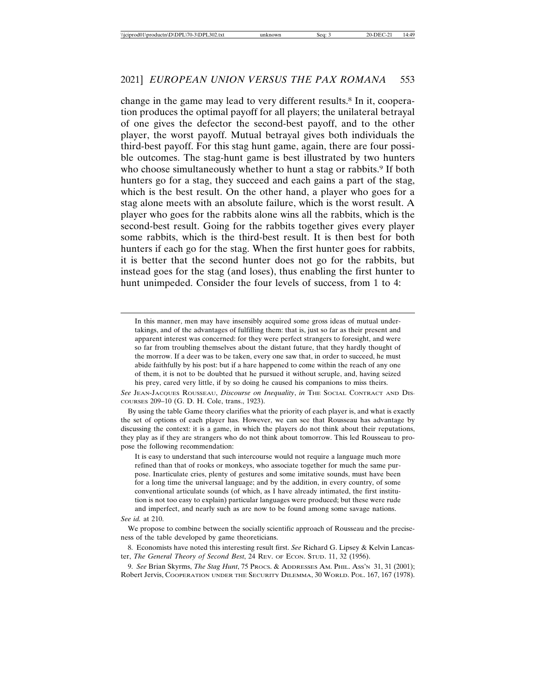change in the game may lead to very different results.8 In it, cooperation produces the optimal payoff for all players; the unilateral betrayal of one gives the defector the second-best payoff, and to the other player, the worst payoff. Mutual betrayal gives both individuals the third-best payoff. For this stag hunt game, again, there are four possible outcomes. The stag-hunt game is best illustrated by two hunters who choose simultaneously whether to hunt a stag or rabbits.<sup>9</sup> If both hunters go for a stag, they succeed and each gains a part of the stag, which is the best result. On the other hand, a player who goes for a stag alone meets with an absolute failure, which is the worst result. A player who goes for the rabbits alone wins all the rabbits, which is the second-best result. Going for the rabbits together gives every player some rabbits, which is the third-best result. It is then best for both hunters if each go for the stag. When the first hunter goes for rabbits, it is better that the second hunter does not go for the rabbits, but instead goes for the stag (and loses), thus enabling the first hunter to hunt unimpeded. Consider the four levels of success, from 1 to 4:

In this manner, men may have insensibly acquired some gross ideas of mutual undertakings, and of the advantages of fulfilling them: that is, just so far as their present and apparent interest was concerned: for they were perfect strangers to foresight, and were so far from troubling themselves about the distant future, that they hardly thought of the morrow. If a deer was to be taken, every one saw that, in order to succeed, he must abide faithfully by his post: but if a hare happened to come within the reach of any one of them, it is not to be doubted that he pursued it without scruple, and, having seized his prey, cared very little, if by so doing he caused his companions to miss theirs.

*See* JEAN-JACQUES ROUSSEAU, *Discourse on Inequality*, *in* THE SOCIAL CONTRACT AND DIS-COURSES 209–10 (G. D. H. Cole, trans., 1923).

By using the table Game theory clarifies what the priority of each player is, and what is exactly the set of options of each player has. However, we can see that Rousseau has advantage by discussing the context: it is a game, in which the players do not think about their reputations, they play as if they are strangers who do not think about tomorrow. This led Rousseau to propose the following recommendation:

It is easy to understand that such intercourse would not require a language much more refined than that of rooks or monkeys, who associate together for much the same purpose. Inarticulate cries, plenty of gestures and some imitative sounds, must have been for a long time the universal language; and by the addition, in every country, of some conventional articulate sounds (of which, as I have already intimated, the first institution is not too easy to explain) particular languages were produced; but these were rude and imperfect, and nearly such as are now to be found among some savage nations.

*See id.* at 210.

We propose to combine between the socially scientific approach of Rousseau and the preciseness of the table developed by game theoreticians.

8. Economists have noted this interesting result first. *See* Richard G. Lipsey & Kelvin Lancaster, *The General Theory of Second Best*, 24 REV. OF ECON. STUD. 11, 32 (1956).

9. *See* Brian Skyrms, *The Stag Hunt*, 75 PROCS. & ADDRESSES AM. PHIL. ASS'N 31, 31 (2001); Robert Jervis, COOPERATION UNDER THE SECURITY DILEMMA, 30 WORLD. POL. 167, 167 (1978).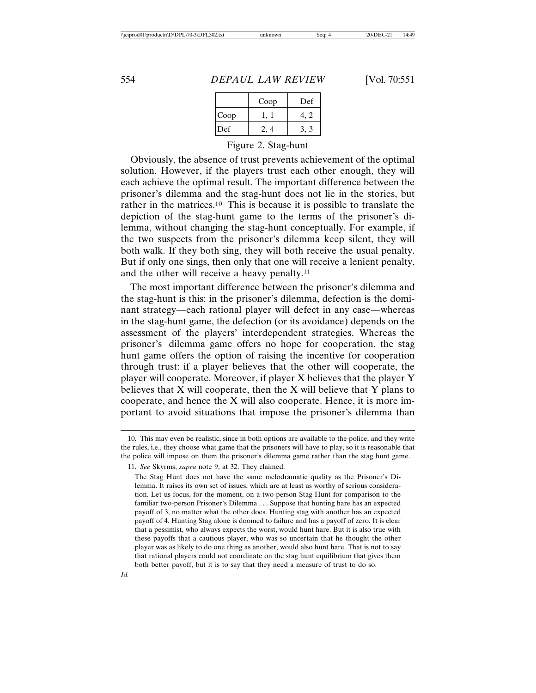|      | Coop | Def |
|------|------|-----|
| Coop |      |     |
| Def  |      |     |

Figure 2. Stag-hunt

Obviously, the absence of trust prevents achievement of the optimal solution. However, if the players trust each other enough, they will each achieve the optimal result. The important difference between the prisoner's dilemma and the stag-hunt does not lie in the stories, but rather in the matrices.10 This is because it is possible to translate the depiction of the stag-hunt game to the terms of the prisoner's dilemma, without changing the stag-hunt conceptually. For example, if the two suspects from the prisoner's dilemma keep silent, they will both walk. If they both sing, they will both receive the usual penalty. But if only one sings, then only that one will receive a lenient penalty, and the other will receive a heavy penalty.11

The most important difference between the prisoner's dilemma and the stag-hunt is this: in the prisoner's dilemma, defection is the dominant strategy—each rational player will defect in any case—whereas in the stag-hunt game, the defection (or its avoidance) depends on the assessment of the players' interdependent strategies. Whereas the prisoner's dilemma game offers no hope for cooperation, the stag hunt game offers the option of raising the incentive for cooperation through trust: if a player believes that the other will cooperate, the player will cooperate. Moreover, if player X believes that the player Y believes that  $X$  will cooperate, then the  $X$  will believe that  $Y$  plans to cooperate, and hence the X will also cooperate. Hence, it is more important to avoid situations that impose the prisoner's dilemma than

<sup>10.</sup> This may even be realistic, since in both options are available to the police, and they write the rules, i.e., they choose what game that the prisoners will have to play, so it is reasonable that the police will impose on them the prisoner's dilemma game rather than the stag hunt game.

<sup>11.</sup> *See* Skyrms, *supra* note 9, at 32. They claimed:

The Stag Hunt does not have the same melodramatic quality as the Prisoner's Dilemma. It raises its own set of issues, which are at least as worthy of serious consideration. Let us focus, for the moment, on a two-person Stag Hunt for comparison to the familiar two-person Prisoner's Dilemma . . . Suppose that hunting hare has an expected payoff of 3, no matter what the other does. Hunting stag with another has an expected payoff of 4. Hunting Stag alone is doomed to failure and has a payoff of zero. It is clear that a pessimist, who always expects the worst, would hunt hare. But it is also true with these payoffs that a cautious player, who was so uncertain that he thought the other player was as likely to do one thing as another, would also hunt hare. That is not to say that rational players could not coordinate on the stag hunt equilibrium that gives them both better payoff, but it is to say that they need a measure of trust to do so.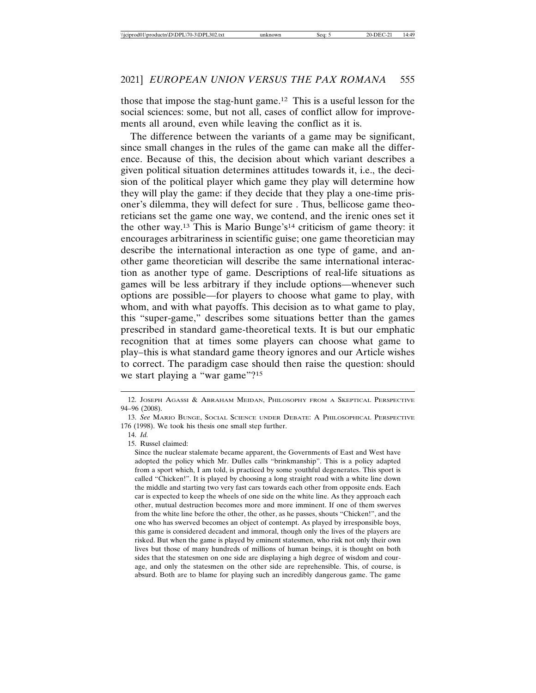those that impose the stag-hunt game.12 This is a useful lesson for the social sciences: some, but not all, cases of conflict allow for improvements all around, even while leaving the conflict as it is.

The difference between the variants of a game may be significant, since small changes in the rules of the game can make all the difference. Because of this, the decision about which variant describes a given political situation determines attitudes towards it, i.e., the decision of the political player which game they play will determine how they will play the game: if they decide that they play a one-time prisoner's dilemma, they will defect for sure . Thus, bellicose game theoreticians set the game one way, we contend, and the irenic ones set it the other way.13 This is Mario Bunge's14 criticism of game theory: it encourages arbitrariness in scientific guise; one game theoretician may describe the international interaction as one type of game, and another game theoretician will describe the same international interaction as another type of game. Descriptions of real-life situations as games will be less arbitrary if they include options—whenever such options are possible—for players to choose what game to play, with whom, and with what payoffs. This decision as to what game to play, this "super-game," describes some situations better than the games prescribed in standard game-theoretical texts. It is but our emphatic recognition that at times some players can choose what game to play–this is what standard game theory ignores and our Article wishes to correct. The paradigm case should then raise the question: should we start playing a "war game"?<sup>15</sup>

15. Russel claimed:

Since the nuclear stalemate became apparent, the Governments of East and West have adopted the policy which Mr. Dulles calls "brinkmanship". This is a policy adapted from a sport which, I am told, is practiced by some youthful degenerates. This sport is called "Chicken!". It is played by choosing a long straight road with a white line down the middle and starting two very fast cars towards each other from opposite ends. Each car is expected to keep the wheels of one side on the white line. As they approach each other, mutual destruction becomes more and more imminent. If one of them swerves from the white line before the other, the other, as he passes, shouts "Chicken!", and the one who has swerved becomes an object of contempt. As played by irresponsible boys, this game is considered decadent and immoral, though only the lives of the players are risked. But when the game is played by eminent statesmen, who risk not only their own lives but those of many hundreds of millions of human beings, it is thought on both sides that the statesmen on one side are displaying a high degree of wisdom and courage, and only the statesmen on the other side are reprehensible. This, of course, is absurd. Both are to blame for playing such an incredibly dangerous game. The game

<sup>12.</sup> JOSEPH AGASSI & ABRAHAM MEIDAN, PHILOSOPHY FROM A SKEPTICAL PERSPECTIVE 94–96 (2008).

<sup>13.</sup> *See* MARIO BUNGE, SOCIAL SCIENCE UNDER DEBATE: A PHILOSOPHICAL PERSPECTIVE 176 (1998). We took his thesis one small step further.

<sup>14.</sup> *Id.*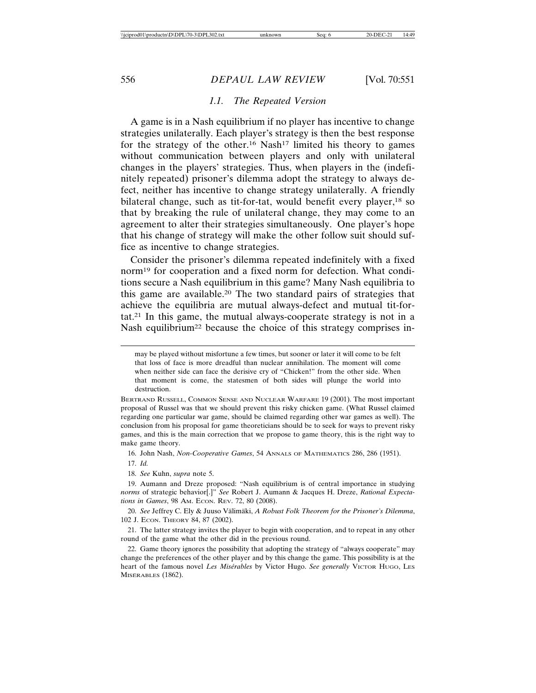#### *1.1. The Repeated Version*

A game is in a Nash equilibrium if no player has incentive to change strategies unilaterally. Each player's strategy is then the best response for the strategy of the other.<sup>16</sup> Nash<sup>17</sup> limited his theory to games without communication between players and only with unilateral changes in the players' strategies. Thus, when players in the (indefinitely repeated) prisoner's dilemma adopt the strategy to always defect, neither has incentive to change strategy unilaterally. A friendly bilateral change, such as tit-for-tat, would benefit every player,<sup>18</sup> so that by breaking the rule of unilateral change, they may come to an agreement to alter their strategies simultaneously. One player's hope that his change of strategy will make the other follow suit should suffice as incentive to change strategies.

Consider the prisoner's dilemma repeated indefinitely with a fixed norm19 for cooperation and a fixed norm for defection. What conditions secure a Nash equilibrium in this game? Many Nash equilibria to this game are available.20 The two standard pairs of strategies that achieve the equilibria are mutual always-defect and mutual tit-fortat.21 In this game, the mutual always-cooperate strategy is not in a Nash equilibrium<sup>22</sup> because the choice of this strategy comprises in-

BERTRAND RUSSELL, COMMON SENSE AND NUCLEAR WARFARE 19 (2001). The most important proposal of Russel was that we should prevent this risky chicken game. (What Russel claimed regarding one particular war game, should be claimed regarding other war games as well). The conclusion from his proposal for game theoreticians should be to seek for ways to prevent risky games, and this is the main correction that we propose to game theory, this is the right way to make game theory.

16. John Nash, *Non-Cooperative Games*, 54 ANNALS OF MATHEMATICS 286, 286 (1951).

17. *Id.*

18. *See* Kuhn, *supra* note 5.

19. Aumann and Dreze proposed: "Nash equilibrium is of central importance in studying *norms* of strategic behavior[.]" *See* Robert J. Aumann & Jacques H. Dreze, *Rational Expectations in Games*, 98 AM. ECON. REV. 72, 80 (2008).

20. See Jeffrey C. Ely & Juuso Välimäki, *A Robust Folk Theorem for the Prisoner's Dilemma*, 102 J. ECON. THEORY 84, 87 (2002).

21. The latter strategy invites the player to begin with cooperation, and to repeat in any other round of the game what the other did in the previous round.

22. Game theory ignores the possibility that adopting the strategy of "always cooperate" may change the preferences of the other player and by this change the game. This possibility is at the heart of the famous novel Les Misérables by Victor Hugo. See generally VICTOR HUGO, LES MISÉRABLES (1862).

may be played without misfortune a few times, but sooner or later it will come to be felt that loss of face is more dreadful than nuclear annihilation. The moment will come when neither side can face the derisive cry of "Chicken!" from the other side. When that moment is come, the statesmen of both sides will plunge the world into destruction.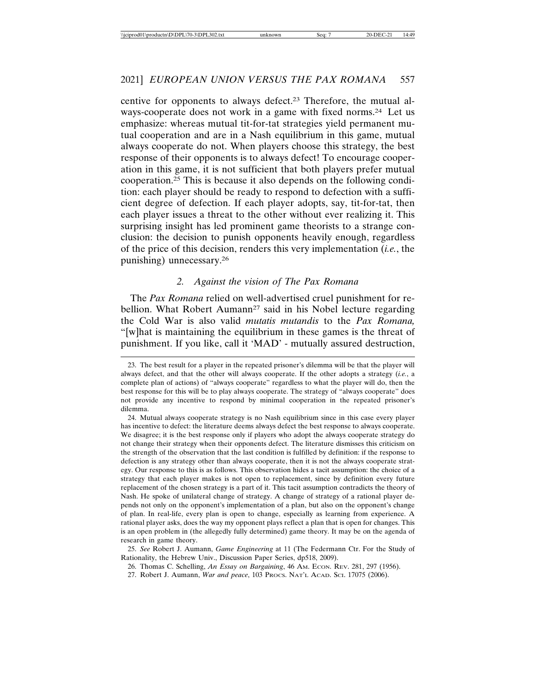centive for opponents to always defect.23 Therefore, the mutual always-cooperate does not work in a game with fixed norms.24 Let us emphasize: whereas mutual tit-for-tat strategies yield permanent mutual cooperation and are in a Nash equilibrium in this game, mutual always cooperate do not. When players choose this strategy, the best response of their opponents is to always defect! To encourage cooperation in this game, it is not sufficient that both players prefer mutual cooperation.25 This is because it also depends on the following condition: each player should be ready to respond to defection with a sufficient degree of defection. If each player adopts, say, tit-for-tat, then each player issues a threat to the other without ever realizing it. This surprising insight has led prominent game theorists to a strange conclusion: the decision to punish opponents heavily enough, regardless of the price of this decision, renders this very implementation (*i.e.*, the punishing) unnecessary.26

#### *2. Against the vision of The Pax Romana*

The *Pax Romana* relied on well-advertised cruel punishment for rebellion. What Robert Aumann<sup>27</sup> said in his Nobel lecture regarding the Cold War is also valid *mutatis mutandis* to the *Pax Romana,* "[w]hat is maintaining the equilibrium in these games is the threat of punishment. If you like, call it 'MAD' - mutually assured destruction,

<sup>23.</sup> The best result for a player in the repeated prisoner's dilemma will be that the player will always defect, and that the other will always cooperate. If the other adopts a strategy (*i.e.*, a complete plan of actions) of "always cooperate" regardless to what the player will do, then the best response for this will be to play always cooperate. The strategy of "always cooperate" does not provide any incentive to respond by minimal cooperation in the repeated prisoner's dilemma.

<sup>24.</sup> Mutual always cooperate strategy is no Nash equilibrium since in this case every player has incentive to defect: the literature deems always defect the best response to always cooperate. We disagree; it is the best response only if players who adopt the always cooperate strategy do not change their strategy when their opponents defect. The literature dismisses this criticism on the strength of the observation that the last condition is fulfilled by definition: if the response to defection is any strategy other than always cooperate, then it is not the always cooperate strategy. Our response to this is as follows. This observation hides a tacit assumption: the choice of a strategy that each player makes is not open to replacement, since by definition every future replacement of the chosen strategy is a part of it. This tacit assumption contradicts the theory of Nash. He spoke of unilateral change of strategy. A change of strategy of a rational player depends not only on the opponent's implementation of a plan, but also on the opponent's change of plan. In real-life, every plan is open to change, especially as learning from experience. A rational player asks, does the way my opponent plays reflect a plan that is open for changes. This is an open problem in (the allegedly fully determined) game theory. It may be on the agenda of research in game theory.

<sup>25.</sup> *See* Robert J. Aumann, *Game Engineering* at 11 (The Federmann Ctr. For the Study of Rationality, the Hebrew Univ., Discussion Paper Series, dp518, 2009).

<sup>26.</sup> Thomas C. Schelling, *An Essay on Bargaining*, 46 AM. ECON. REV. 281, 297 (1956).

<sup>27.</sup> Robert J. Aumann, *War and peace*, 103 PROCS. NAT'L ACAD. SCI. 17075 (2006).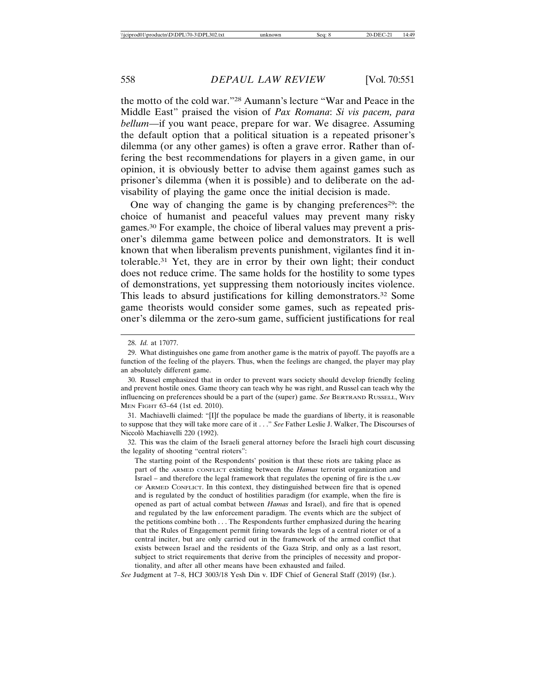the motto of the cold war."28 Aumann's lecture "War and Peace in the Middle East" praised the vision of *Pax Romana*: *Si vis pacem, para bellum*—if you want peace, prepare for war. We disagree. Assuming the default option that a political situation is a repeated prisoner's dilemma (or any other games) is often a grave error. Rather than offering the best recommendations for players in a given game, in our opinion, it is obviously better to advise them against games such as prisoner's dilemma (when it is possible) and to deliberate on the advisability of playing the game once the initial decision is made.

One way of changing the game is by changing preferences<sup>29</sup>: the choice of humanist and peaceful values may prevent many risky games.30 For example, the choice of liberal values may prevent a prisoner's dilemma game between police and demonstrators. It is well known that when liberalism prevents punishment, vigilantes find it intolerable.31 Yet, they are in error by their own light; their conduct does not reduce crime. The same holds for the hostility to some types of demonstrations, yet suppressing them notoriously incites violence. This leads to absurd justifications for killing demonstrators.32 Some game theorists would consider some games, such as repeated prisoner's dilemma or the zero-sum game, sufficient justifications for real

31. Machiavelli claimed: "[I]f the populace be made the guardians of liberty, it is reasonable to suppose that they will take more care of it . . ." *See* Father Leslie J. Walker, The Discourses of Niccolò Machiavelli 220 (1992).

32. This was the claim of the Israeli general attorney before the Israeli high court discussing the legality of shooting "central rioters":

The starting point of the Respondents' position is that these riots are taking place as part of the ARMED CONFLICT existing between the *Hamas* terrorist organization and Israel – and therefore the legal framework that regulates the opening of fire is the LAW OF ARMED CONFLICT. In this context, they distinguished between fire that is opened and is regulated by the conduct of hostilities paradigm (for example, when the fire is opened as part of actual combat between *Hamas* and Israel), and fire that is opened and regulated by the law enforcement paradigm. The events which are the subject of the petitions combine both . . . The Respondents further emphasized during the hearing that the Rules of Engagement permit firing towards the legs of a central rioter or of a central inciter, but are only carried out in the framework of the armed conflict that exists between Israel and the residents of the Gaza Strip, and only as a last resort, subject to strict requirements that derive from the principles of necessity and proportionality, and after all other means have been exhausted and failed.

*See* Judgment at 7–8, HCJ 3003/18 Yesh Din v. IDF Chief of General Staff (2019) (Isr.).

<sup>28.</sup> *Id.* at 17077.

<sup>29.</sup> What distinguishes one game from another game is the matrix of payoff. The payoffs are a function of the feeling of the players. Thus, when the feelings are changed, the player may play an absolutely different game.

<sup>30.</sup> Russel emphasized that in order to prevent wars society should develop friendly feeling and prevent hostile ones. Game theory can teach why he was right, and Russel can teach why the influencing on preferences should be a part of the (super) game. *See* BERTRAND RUSSELL, WHY MEN FIGHT 63–64 (1st ed. 2010).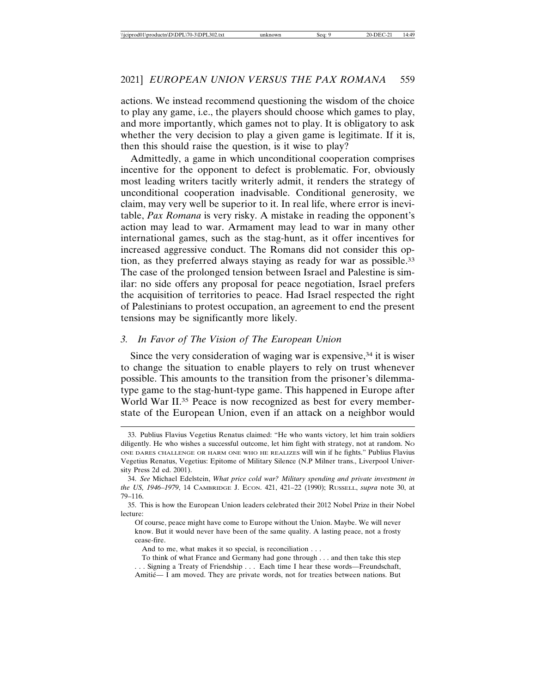actions. We instead recommend questioning the wisdom of the choice to play any game, i.e., the players should choose which games to play, and more importantly, which games not to play. It is obligatory to ask whether the very decision to play a given game is legitimate. If it is, then this should raise the question, is it wise to play?

Admittedly, a game in which unconditional cooperation comprises incentive for the opponent to defect is problematic. For, obviously most leading writers tacitly writerly admit, it renders the strategy of unconditional cooperation inadvisable. Conditional generosity, we claim, may very well be superior to it. In real life, where error is inevitable, *Pax Romana* is very risky. A mistake in reading the opponent's action may lead to war. Armament may lead to war in many other international games, such as the stag-hunt, as it offer incentives for increased aggressive conduct. The Romans did not consider this option, as they preferred always staying as ready for war as possible.33 The case of the prolonged tension between Israel and Palestine is similar: no side offers any proposal for peace negotiation, Israel prefers the acquisition of territories to peace. Had Israel respected the right of Palestinians to protest occupation, an agreement to end the present tensions may be significantly more likely.

#### *3. In Favor of The Vision of The European Union*

Since the very consideration of waging war is expensive,  $34$  it is wiser to change the situation to enable players to rely on trust whenever possible. This amounts to the transition from the prisoner's dilemmatype game to the stag-hunt-type game. This happened in Europe after World War II.<sup>35</sup> Peace is now recognized as best for every memberstate of the European Union, even if an attack on a neighbor would

And to me, what makes it so special, is reconciliation . . .

<sup>33.</sup> Publius Flavius Vegetius Renatus claimed: "He who wants victory, let him train soldiers diligently. He who wishes a successful outcome, let him fight with strategy, not at random. No ONE DARES CHALLENGE OR HARM ONE WHO HE REALIZES will win if he fights." Publius Flavius Vegetius Renatus, Vegetius: Epitome of Military Silence (N.P Milner trans., Liverpool University Press 2d ed. 2001).

<sup>34.</sup> *See* Michael Edelstein, *What price cold war? Military spending and private investment in the US, 1946–1979*, 14 CAMBRIDGE J. ECON. 421, 421–22 (1990); RUSSELL, *supra* note 30, at 79–116.

<sup>35.</sup> This is how the European Union leaders celebrated their 2012 Nobel Prize in their Nobel lecture:

Of course, peace might have come to Europe without the Union. Maybe. We will never know. But it would never have been of the same quality. A lasting peace, not a frosty cease-fire.

To think of what France and Germany had gone through . . . and then take this step . . . Signing a Treaty of Friendship . . . Each time I hear these words—Freundschaft, Amitié— I am moved. They are private words, not for treaties between nations. But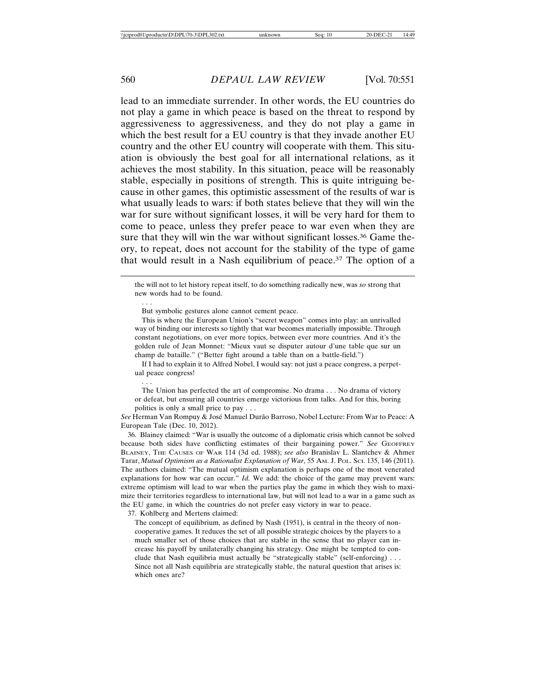lead to an immediate surrender. In other words, the EU countries do not play a game in which peace is based on the threat to respond by aggressiveness to aggressiveness, and they do not play a game in which the best result for a EU country is that they invade another EU country and the other EU country will cooperate with them. This situation is obviously the best goal for all international relations, as it achieves the most stability. In this situation, peace will be reasonably stable, especially in positions of strength. This is quite intriguing because in other games, this optimistic assessment of the results of war is what usually leads to wars: if both states believe that they will win the war for sure without significant losses, it will be very hard for them to come to peace, unless they prefer peace to war even when they are sure that they will win the war without significant losses.<sup>36</sup> Game theory, to repeat, does not account for the stability of the type of game that would result in a Nash equilibrium of peace.37 The option of a

the will not to let history repeat itself, to do something radically new, was *so* strong that new words had to be found.

But symbolic gestures alone cannot cement peace.

This is where the European Union's "secret weapon" comes into play: an unrivalled way of binding our interests so tightly that war becomes materially impossible. Through constant negotiations, on ever more topics, between ever more countries. And it's the golden rule of Jean Monnet: "Mieux vaut se disputer autour d'une table que sur un champ de bataille." ("Better fight around a table than on a battle-field.")

If I had to explain it to Alfred Nobel, I would say: not just a peace congress, a perpetual peace congress!

. . .

. . .

The Union has perfected the art of compromise. No drama . . . No drama of victory or defeat, but ensuring all countries emerge victorious from talks. And for this, boring politics is only a small price to pay . . .

See Herman Van Rompuy & José Manuel Durão Barroso, Nobel Lecture: From War to Peace: A European Tale (Dec. 10, 2012).

36. Blainey claimed: "War is usually the outcome of a diplomatic crisis which cannot be solved because both sides have conflicting estimates of their bargaining power." *See* GEOFFREY BLAINEY, THE CAUSES OF WAR 114 (3d ed. 1988); *see also* Branislav L. Slantchev & Ahmer Tarar, *Mutual Optimism as a Rationalist Explanation of War*, 55 AM. J. POL. SCI. 135, 146 (2011). The authors claimed: "The mutual optimism explanation is perhaps one of the most venerated explanations for how war can occur." *Id.* We add: the choice of the game may prevent wars: extreme optimism will lead to war when the parties play the game in which they wish to maximize their territories regardless to international law, but will not lead to a war in a game such as the EU game, in which the countries do not prefer easy victory in war to peace.

37. Kohlberg and Mertens claimed:

The concept of equilibrium, as defined by Nash (1951), is central in the theory of noncooperative games. It reduces the set of all possible strategic choices by the players to a much smaller set of those choices that are stable in the sense that no player can increase his payoff by unilaterally changing his strategy. One might be tempted to conclude that Nash equilibria must actually be "strategically stable" (self-enforcing) . . . Since not all Nash equilibria are strategically stable, the natural question that arises is: which ones are?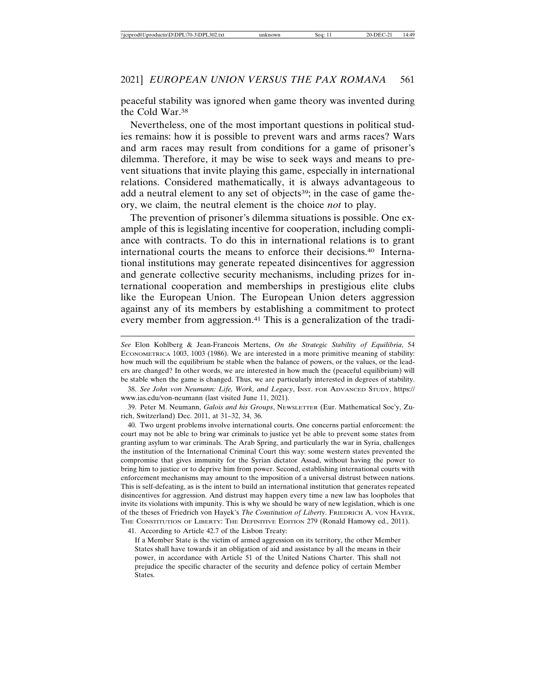peaceful stability was ignored when game theory was invented during the Cold War.38

Nevertheless, one of the most important questions in political studies remains: how it is possible to prevent wars and arms races? Wars and arm races may result from conditions for a game of prisoner's dilemma. Therefore, it may be wise to seek ways and means to prevent situations that invite playing this game, especially in international relations. Considered mathematically, it is always advantageous to add a neutral element to any set of objects<sup>39</sup>; in the case of game theory, we claim, the neutral element is the choice *not* to play.

The prevention of prisoner's dilemma situations is possible. One example of this is legislating incentive for cooperation, including compliance with contracts. To do this in international relations is to grant international courts the means to enforce their decisions.40 International institutions may generate repeated disincentives for aggression and generate collective security mechanisms, including prizes for international cooperation and memberships in prestigious elite clubs like the European Union. The European Union deters aggression against any of its members by establishing a commitment to protect every member from aggression.<sup>41</sup> This is a generalization of the tradi-

38. *See John von Neumann: Life, Work, and Legacy*, INST. FOR ADVANCED STUDY, https:// www.ias.edu/von-neumann (last visited June 11, 2021).

39. Peter M. Neumann, *Galois and his Groups*, NEWSLETTER (Eur. Mathematical Soc'y, Zurich, Switzerland) Dec. 2011, at 31–32, 34, 36.

40. Two urgent problems involve international courts. One concerns partial enforcement: the court may not be able to bring war criminals to justice yet be able to prevent some states from granting asylum to war criminals. The Arab Spring, and particularly the war in Syria, challenges the institution of the International Criminal Court this way: some western states prevented the compromise that gives immunity for the Syrian dictator Assad, without having the power to bring him to justice or to deprive him from power. Second, establishing international courts with enforcement mechanisms may amount to the imposition of a universal distrust between nations. This is self-defeating, as is the intent to build an international institution that generates repeated disincentives for aggression. And distrust may happen every time a new law has loopholes that invite its violations with impunity. This is why we should be wary of new legislation, which is one of the theses of Friedrich von Hayek's *The Constitution of Liberty*. FRIEDRICH A. VON HAYEK, THE CONSTITUTION OF LIBERTY: THE DEFINITIVE EDITION 279 (Ronald Hamowy ed., 2011).

41. According to Article 42.7 of the Lisbon Treaty:

If a Member State is the victim of armed aggression on its territory, the other Member States shall have towards it an obligation of aid and assistance by all the means in their power, in accordance with Article 51 of the United Nations Charter. This shall not prejudice the specific character of the security and defence policy of certain Member States.

*See* Elon Kohlberg & Jean-Francois Mertens, *On the Strategic Stability of Equilibria*, 54 ECONOMETRICA 1003, 1003 (1986). We are interested in a more primitive meaning of stability: how much will the equilibrium be stable when the balance of powers, or the values, or the leaders are changed? In other words, we are interested in how much the (peaceful equilibrium) will be stable when the game is changed. Thus, we are particularly interested in degrees of stability.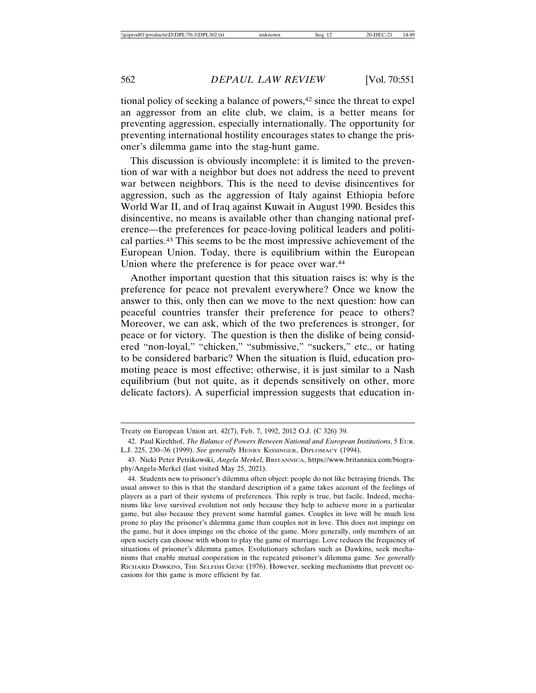tional policy of seeking a balance of powers,<sup>42</sup> since the threat to expel an aggressor from an elite club, we claim, is a better means for preventing aggression, especially internationally. The opportunity for preventing international hostility encourages states to change the prisoner's dilemma game into the stag-hunt game.

This discussion is obviously incomplete: it is limited to the prevention of war with a neighbor but does not address the need to prevent war between neighbors. This is the need to devise disincentives for aggression, such as the aggression of Italy against Ethiopia before World War II, and of Iraq against Kuwait in August 1990. Besides this disincentive, no means is available other than changing national preference—the preferences for peace-loving political leaders and political parties.43 This seems to be the most impressive achievement of the European Union. Today, there is equilibrium within the European Union where the preference is for peace over war.<sup>44</sup>

Another important question that this situation raises is: why is the preference for peace not prevalent everywhere? Once we know the answer to this, only then can we move to the next question: how can peaceful countries transfer their preference for peace to others? Moreover, we can ask, which of the two preferences is stronger, for peace or for victory. The question is then the dislike of being considered "non-loyal," "chicken," "submissive," "suckers," etc., or hating to be considered barbaric? When the situation is fluid, education promoting peace is most effective; otherwise, it is just similar to a Nash equilibrium (but not quite, as it depends sensitively on other, more delicate factors). A superficial impression suggests that education in-

Treaty on European Union art. 42(7), Feb. 7, 1992, 2012 O.J. (C 326) 39.

<sup>42.</sup> Paul Kirchhof, *The Balance of Powers Between National and European Institutions*, 5 EUR. L.J. 225, 230–36 (1999). *See generally* HENRY KISSINGER, DIPLOMACY (1994).

<sup>43.</sup> Nicki Peter Petrikowski, *Angela Merkel*, BRITANNICA, https://www.britannica.com/biography/Angela-Merkel (last visited May 25, 2021).

<sup>44.</sup> Students new to prisoner's dilemma often object: people do not like betraying friends. The usual answer to this is that the standard description of a game takes account of the feelings of players as a part of their systems of preferences. This reply is true, but facile. Indeed, mechanisms like love survived evolution not only because they help to achieve more in a particular game, but also because they prevent some harmful games. Couples in love will be much less prone to play the prisoner's dilemma game than couples not in love. This does not impinge on the game, but it does impinge on the choice of the game. More generally, only members of an open society can choose with whom to play the game of marriage. Love reduces the frequency of situations of prisoner's dilemma games. Evolutionary scholars such as Dawkins, seek mechanisms that enable mutual cooperation in the repeated prisoner's dilemma game. *See generally* RICHARD DAWKINS, THE SELFISH GENE (1976). However, seeking mechanisms that prevent occasions for this game is more efficient by far.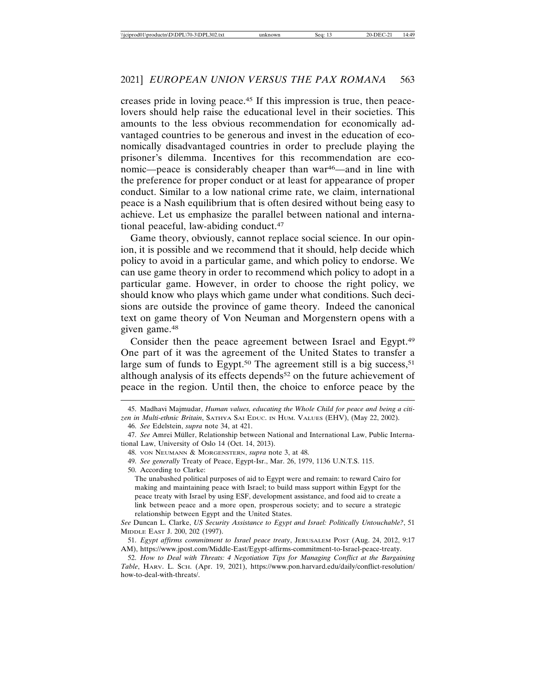creases pride in loving peace.45 If this impression is true, then peacelovers should help raise the educational level in their societies. This amounts to the less obvious recommendation for economically advantaged countries to be generous and invest in the education of economically disadvantaged countries in order to preclude playing the prisoner's dilemma. Incentives for this recommendation are economic—peace is considerably cheaper than war<sup>46</sup>—and in line with the preference for proper conduct or at least for appearance of proper conduct. Similar to a low national crime rate, we claim, international peace is a Nash equilibrium that is often desired without being easy to achieve. Let us emphasize the parallel between national and international peaceful, law-abiding conduct.47

Game theory, obviously, cannot replace social science. In our opinion, it is possible and we recommend that it should, help decide which policy to avoid in a particular game, and which policy to endorse. We can use game theory in order to recommend which policy to adopt in a particular game. However, in order to choose the right policy, we should know who plays which game under what conditions. Such decisions are outside the province of game theory. Indeed the canonical text on game theory of Von Neuman and Morgenstern opens with a given game.48

Consider then the peace agreement between Israel and Egypt.49 One part of it was the agreement of the United States to transfer a large sum of funds to Egypt.<sup>50</sup> The agreement still is a big success,<sup>51</sup> although analysis of its effects depends<sup>52</sup> on the future achievement of peace in the region. Until then, the choice to enforce peace by the

46. *See* Edelstein, *supra* note 34, at 421.

50. According to Clarke:

<sup>45.</sup> Madhavi Majmudar, *Human values, educating the Whole Child for peace and being a citizen in Multi-ethnic Britain*, SATHYA SAI EDUC. IN HUM. VALUES (EHV), (May 22, 2002).

<sup>47.</sup> See Amrei Müller, Relationship between National and International Law, Public International Law, University of Oslo 14 (Oct. 14, 2013).

<sup>48.</sup> VON NEUMANN & MORGENSTERN, *supra* note 3, at 48.

<sup>49.</sup> *See generally* Treaty of Peace, Egypt-Isr., Mar. 26, 1979, 1136 U.N.T.S. 115.

The unabashed political purposes of aid to Egypt were and remain: to reward Cairo for making and maintaining peace with Israel; to build mass support within Egypt for the peace treaty with Israel by using ESF, development assistance, and food aid to create a link between peace and a more open, prosperous society; and to secure a strategic relationship between Egypt and the United States.

*See* Duncan L. Clarke, *US Security Assistance to Egypt and Israel: Politically Untouchable?*, 51 MIDDLE EAST J. 200, 202 (1997).

<sup>51.</sup> *Egypt affirms commitment to Israel peace treaty*, JERUSALEM POST (Aug. 24, 2012, 9:17 AM), https://www.jpost.com/Middle-East/Egypt-affirms-commitment-to-Israel-peace-treaty.

<sup>52.</sup> *How to Deal with Threats: 4 Negotiation Tips for Managing Conflict at the Bargaining Table*, HARV. L. SCH. (Apr. 19, 2021), https://www.pon.harvard.edu/daily/conflict-resolution/ how-to-deal-with-threats/.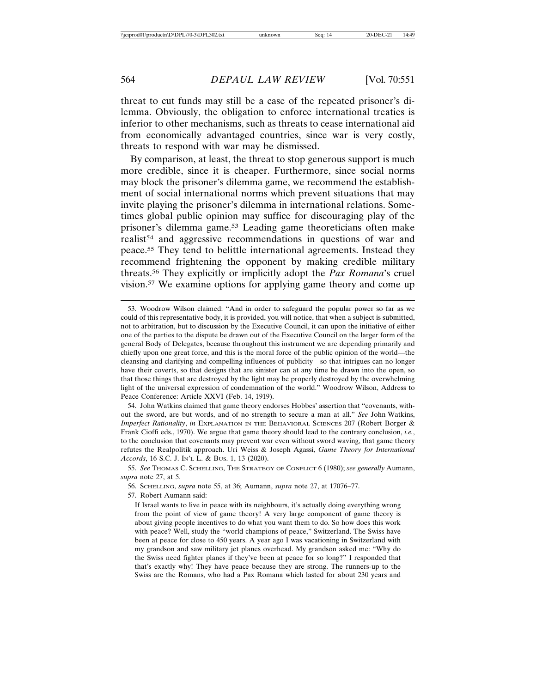threat to cut funds may still be a case of the repeated prisoner's dilemma. Obviously, the obligation to enforce international treaties is inferior to other mechanisms, such as threats to cease international aid from economically advantaged countries, since war is very costly, threats to respond with war may be dismissed.

By comparison, at least, the threat to stop generous support is much more credible, since it is cheaper. Furthermore, since social norms may block the prisoner's dilemma game, we recommend the establishment of social international norms which prevent situations that may invite playing the prisoner's dilemma in international relations. Sometimes global public opinion may suffice for discouraging play of the prisoner's dilemma game.53 Leading game theoreticians often make realist<sup>54</sup> and aggressive recommendations in questions of war and peace.55 They tend to belittle international agreements. Instead they recommend frightening the opponent by making credible military threats.56 They explicitly or implicitly adopt the *Pax Romana*'s cruel vision.57 We examine options for applying game theory and come up

54. John Watkins claimed that game theory endorses Hobbes' assertion that "covenants, without the sword, are but words, and of no strength to secure a man at all." *See* John Watkins, *Imperfect Rationality*, *in* EXPLANATION IN THE BEHAVIORAL SCIENCES 207 (Robert Borger & Frank Cioffi eds., 1970). We argue that game theory should lead to the contrary conclusion, *i.e.*, to the conclusion that covenants may prevent war even without sword waving, that game theory refutes the Realpolitik approach. Uri Weiss & Joseph Agassi, *Game Theory for International Accords*, 16 S.C. J. IN'L L. & BUS. 1, 13 (2020).

57. Robert Aumann said:

If Israel wants to live in peace with its neighbours, it's actually doing everything wrong from the point of view of game theory! A very large component of game theory is about giving people incentives to do what you want them to do. So how does this work with peace? Well, study the "world champions of peace," Switzerland. The Swiss have been at peace for close to 450 years. A year ago I was vacationing in Switzerland with my grandson and saw military jet planes overhead. My grandson asked me: "Why do the Swiss need fighter planes if they've been at peace for so long?" I responded that that's exactly why! They have peace because they are strong. The runners-up to the Swiss are the Romans, who had a Pax Romana which lasted for about 230 years and

<sup>53.</sup> Woodrow Wilson claimed: "And in order to safeguard the popular power so far as we could of this representative body, it is provided, you will notice, that when a subject is submitted, not to arbitration, but to discussion by the Executive Council, it can upon the initiative of either one of the parties to the dispute be drawn out of the Executive Council on the larger form of the general Body of Delegates, because throughout this instrument we are depending primarily and chiefly upon one great force, and this is the moral force of the public opinion of the world—the cleansing and clarifying and compelling influences of publicity—so that intrigues can no longer have their coverts, so that designs that are sinister can at any time be drawn into the open, so that those things that are destroyed by the light may be properly destroyed by the overwhelming light of the universal expression of condemnation of the world." Woodrow Wilson, Address to Peace Conference: Article XXVI (Feb. 14, 1919).

<sup>55.</sup> *See* THOMAS C. SCHELLING, THE STRATEGY OF CONFLICT 6 (1980); *see generally* Aumann, *supra* note 27, at 5.

<sup>56.</sup> SCHELLING, *supra* note 55, at 36; Aumann, *supra* note 27, at 17076–77.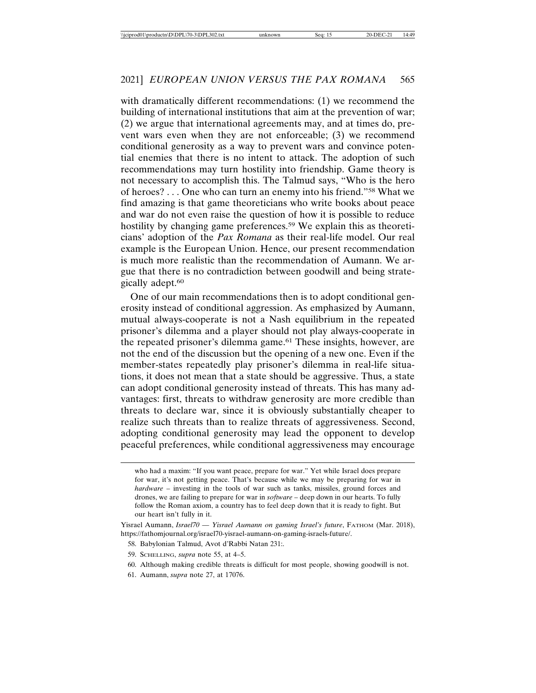with dramatically different recommendations: (1) we recommend the building of international institutions that aim at the prevention of war; (2) we argue that international agreements may, and at times do, prevent wars even when they are not enforceable; (3) we recommend conditional generosity as a way to prevent wars and convince potential enemies that there is no intent to attack. The adoption of such recommendations may turn hostility into friendship. Game theory is not necessary to accomplish this. The Talmud says, "Who is the hero of heroes? . . . One who can turn an enemy into his friend."58 What we find amazing is that game theoreticians who write books about peace and war do not even raise the question of how it is possible to reduce hostility by changing game preferences.59 We explain this as theoreticians' adoption of the *Pax Romana* as their real-life model. Our real example is the European Union. Hence, our present recommendation is much more realistic than the recommendation of Aumann. We argue that there is no contradiction between goodwill and being strategically adept.60

One of our main recommendations then is to adopt conditional generosity instead of conditional aggression. As emphasized by Aumann, mutual always-cooperate is not a Nash equilibrium in the repeated prisoner's dilemma and a player should not play always-cooperate in the repeated prisoner's dilemma game.61 These insights, however, are not the end of the discussion but the opening of a new one. Even if the member-states repeatedly play prisoner's dilemma in real-life situations, it does not mean that a state should be aggressive. Thus, a state can adopt conditional generosity instead of threats. This has many advantages: first, threats to withdraw generosity are more credible than threats to declare war, since it is obviously substantially cheaper to realize such threats than to realize threats of aggressiveness. Second, adopting conditional generosity may lead the opponent to develop peaceful preferences, while conditional aggressiveness may encourage

- 59. SCHELLING, *supra* note 55, at 4–5.
- 60. Although making credible threats is difficult for most people, showing goodwill is not.
- 61. Aumann, *supra* note 27, at 17076.

who had a maxim: "If you want peace, prepare for war." Yet while Israel does prepare for war, it's not getting peace. That's because while we may be preparing for war in *hardware* – investing in the tools of war such as tanks, missiles, ground forces and drones, we are failing to prepare for war in *software* – deep down in our hearts. To fully follow the Roman axiom, a country has to feel deep down that it is ready to fight. But our heart isn't fully in it.

Yisrael Aumann, *Israel70 — Yisrael Aumann on gaming Israel's future*, FATHOM (Mar. 2018), https://fathomjournal.org/israel70-yisrael-aumann-on-gaming-israels-future/.

<sup>58.</sup> Babylonian Talmud, Avot d'Rabbi Natan 231:.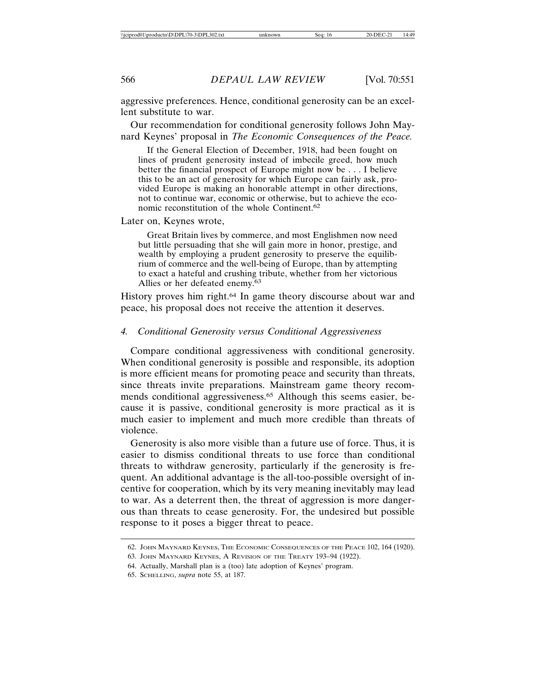aggressive preferences. Hence, conditional generosity can be an excellent substitute to war.

Our recommendation for conditional generosity follows John Maynard Keynes' proposal in *The Economic Consequences of the Peace.*

If the General Election of December, 1918, had been fought on lines of prudent generosity instead of imbecile greed, how much better the financial prospect of Europe might now be . . . I believe this to be an act of generosity for which Europe can fairly ask, provided Europe is making an honorable attempt in other directions, not to continue war, economic or otherwise, but to achieve the economic reconstitution of the whole Continent.62

Later on, Keynes wrote,

Great Britain lives by commerce, and most Englishmen now need but little persuading that she will gain more in honor, prestige, and wealth by employing a prudent generosity to preserve the equilibrium of commerce and the well-being of Europe, than by attempting to exact a hateful and crushing tribute, whether from her victorious Allies or her defeated enemy.63

History proves him right.<sup>64</sup> In game theory discourse about war and peace, his proposal does not receive the attention it deserves.

#### *4. Conditional Generosity versus Conditional Aggressiveness*

Compare conditional aggressiveness with conditional generosity. When conditional generosity is possible and responsible, its adoption is more efficient means for promoting peace and security than threats, since threats invite preparations. Mainstream game theory recommends conditional aggressiveness.65 Although this seems easier, because it is passive, conditional generosity is more practical as it is much easier to implement and much more credible than threats of violence.

Generosity is also more visible than a future use of force. Thus, it is easier to dismiss conditional threats to use force than conditional threats to withdraw generosity, particularly if the generosity is frequent. An additional advantage is the all-too-possible oversight of incentive for cooperation, which by its very meaning inevitably may lead to war. As a deterrent then, the threat of aggression is more dangerous than threats to cease generosity. For, the undesired but possible response to it poses a bigger threat to peace.

<sup>62.</sup> JOHN MAYNARD KEYNES, THE ECONOMIC CONSEQUENCES OF THE PEACE 102, 164 (1920).

<sup>63.</sup> JOHN MAYNARD KEYNES, A REVISION OF THE TREATY 193–94 (1922).

<sup>64.</sup> Actually, Marshall plan is a (too) late adoption of Keynes' program.

<sup>65.</sup> SCHELLING, *supra* note 55, at 187.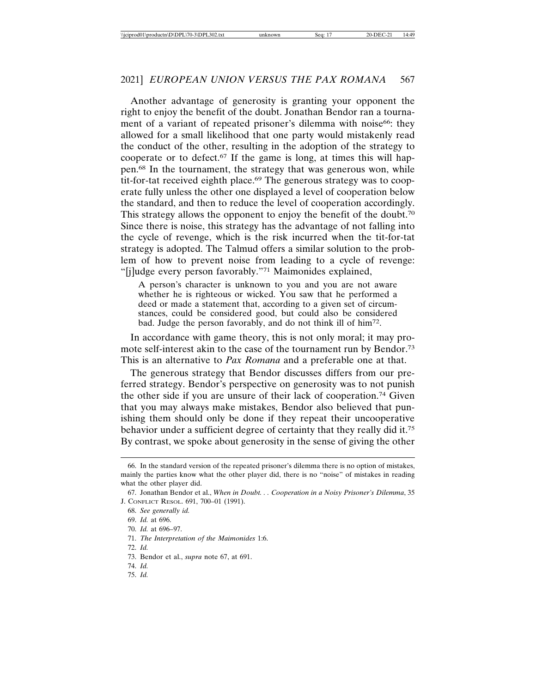Another advantage of generosity is granting your opponent the right to enjoy the benefit of the doubt. Jonathan Bendor ran a tournament of a variant of repeated prisoner's dilemma with noise<sup>66</sup>: they allowed for a small likelihood that one party would mistakenly read the conduct of the other, resulting in the adoption of the strategy to cooperate or to defect. $67$  If the game is long, at times this will happen.68 In the tournament, the strategy that was generous won, while tit-for-tat received eighth place.<sup>69</sup> The generous strategy was to cooperate fully unless the other one displayed a level of cooperation below the standard, and then to reduce the level of cooperation accordingly. This strategy allows the opponent to enjoy the benefit of the doubt.<sup>70</sup> Since there is noise, this strategy has the advantage of not falling into the cycle of revenge, which is the risk incurred when the tit-for-tat strategy is adopted. The Talmud offers a similar solution to the problem of how to prevent noise from leading to a cycle of revenge: "[j]udge every person favorably."71 Maimonides explained,

A person's character is unknown to you and you are not aware whether he is righteous or wicked. You saw that he performed a deed or made a statement that, according to a given set of circumstances, could be considered good, but could also be considered bad. Judge the person favorably, and do not think ill of him72.

In accordance with game theory, this is not only moral; it may promote self-interest akin to the case of the tournament run by Bendor.73 This is an alternative to *Pax Romana* and a preferable one at that.

The generous strategy that Bendor discusses differs from our preferred strategy. Bendor's perspective on generosity was to not punish the other side if you are unsure of their lack of cooperation.74 Given that you may always make mistakes, Bendor also believed that punishing them should only be done if they repeat their uncooperative behavior under a sufficient degree of certainty that they really did it.<sup>75</sup> By contrast, we spoke about generosity in the sense of giving the other

- 71. *The Interpretation of the Maimonides* 1:6.
- 72. *Id.*
- 73. Bendor et al., *supra* note 67, at 691.
- 74. *Id.*
- 75. *Id.*

<sup>66.</sup> In the standard version of the repeated prisoner's dilemma there is no option of mistakes, mainly the parties know what the other player did, there is no "noise" of mistakes in reading what the other player did.

<sup>67.</sup> Jonathan Bendor et al., *When in Doubt. . . Cooperation in a Noisy Prisoner's Dilemma*, 35 J. CONFLICT RESOL. 691, 700–01 (1991).

<sup>68.</sup> *See generally id.*

<sup>69.</sup> *Id.* at 696.

<sup>70.</sup> *Id.* at 696–97.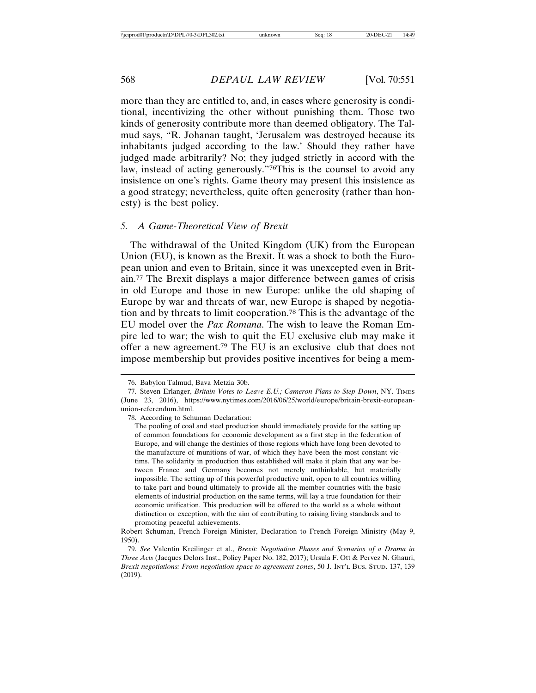more than they are entitled to, and, in cases where generosity is conditional, incentivizing the other without punishing them. Those two kinds of generosity contribute more than deemed obligatory. The Talmud says, "R. Johanan taught, 'Jerusalem was destroyed because its inhabitants judged according to the law.' Should they rather have judged made arbitrarily? No; they judged strictly in accord with the law, instead of acting generously."76This is the counsel to avoid any insistence on one's rights. Game theory may present this insistence as a good strategy; nevertheless, quite often generosity (rather than honesty) is the best policy.

#### *5. A Game-Theoretical View of Brexit*

The withdrawal of the United Kingdom (UK) from the European Union (EU), is known as the Brexit. It was a shock to both the European union and even to Britain, since it was unexcepted even in Britain.77 The Brexit displays a major difference between games of crisis in old Europe and those in new Europe: unlike the old shaping of Europe by war and threats of war, new Europe is shaped by negotiation and by threats to limit cooperation.78 This is the advantage of the EU model over the *Pax Romana*. The wish to leave the Roman Empire led to war; the wish to quit the EU exclusive club may make it offer a new agreement.79 The EU is an exclusive club that does not impose membership but provides positive incentives for being a mem-

78. According to Schuman Declaration:

<sup>76.</sup> Babylon Talmud, Bava Metzia 30b.

<sup>77.</sup> Steven Erlanger, *Britain Votes to Leave E.U.; Cameron Plans to Step Down*, NY. TIMES (June 23, 2016), https://www.nytimes.com/2016/06/25/world/europe/britain-brexit-europeanunion-referendum.html.

The pooling of coal and steel production should immediately provide for the setting up of common foundations for economic development as a first step in the federation of Europe, and will change the destinies of those regions which have long been devoted to the manufacture of munitions of war, of which they have been the most constant victims. The solidarity in production thus established will make it plain that any war between France and Germany becomes not merely unthinkable, but materially impossible. The setting up of this powerful productive unit, open to all countries willing to take part and bound ultimately to provide all the member countries with the basic elements of industrial production on the same terms, will lay a true foundation for their economic unification. This production will be offered to the world as a whole without distinction or exception, with the aim of contributing to raising living standards and to promoting peaceful achievements.

Robert Schuman, French Foreign Minister, Declaration to French Foreign Ministry (May 9, 1950).

<sup>79.</sup> *See* Valentin Kreilinger et al., *Brexit: Negotiation Phases and Scenarios of a Drama in Three Acts* (Jacques Delors Inst., Policy Paper No. 182, 2017); Ursula F. Ott & Pervez N. Ghauri, *Brexit negotiations: From negotiation space to agreement zones*, 50 J. INT'L BUS. STUD. 137, 139 (2019).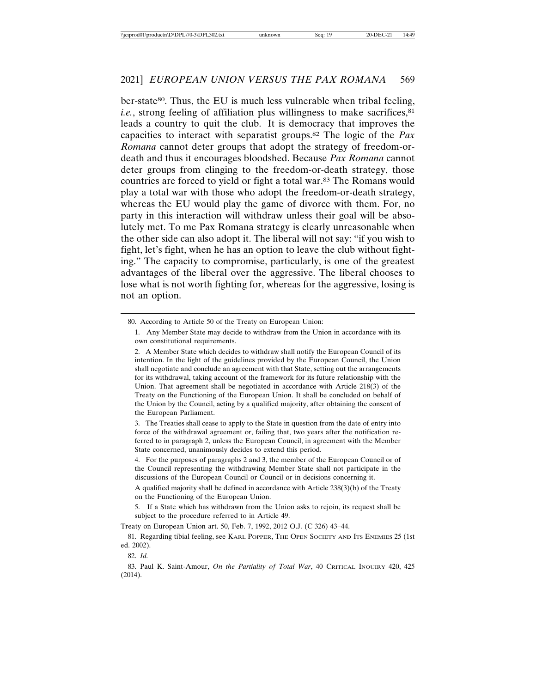ber-state<sup>80</sup>. Thus, the EU is much less vulnerable when tribal feeling, *i.e.*, strong feeling of affiliation plus willingness to make sacrifices, $81$ leads a country to quit the club. It is democracy that improves the capacities to interact with separatist groups.82 The logic of the *Pax Romana* cannot deter groups that adopt the strategy of freedom-ordeath and thus it encourages bloodshed. Because *Pax Romana* cannot deter groups from clinging to the freedom-or-death strategy, those countries are forced to yield or fight a total war.83 The Romans would play a total war with those who adopt the freedom-or-death strategy, whereas the EU would play the game of divorce with them. For, no party in this interaction will withdraw unless their goal will be absolutely met. To me Pax Romana strategy is clearly unreasonable when the other side can also adopt it. The liberal will not say: "if you wish to fight, let's fight, when he has an option to leave the club without fighting." The capacity to compromise, particularly, is one of the greatest advantages of the liberal over the aggressive. The liberal chooses to lose what is not worth fighting for, whereas for the aggressive, losing is not an option.

A qualified majority shall be defined in accordance with Article 238(3)(b) of the Treaty on the Functioning of the European Union.

5. If a State which has withdrawn from the Union asks to rejoin, its request shall be subject to the procedure referred to in Article 49.

Treaty on European Union art. 50, Feb. 7, 1992, 2012 O.J. (C 326) 43–44.

81. Regarding tibial feeling, see KARL POPPER, THE OPEN SOCIETY AND ITS ENEMIES 25 (1st ed. 2002).

83. Paul K. Saint-Amour, *On the Partiality of Total War*, 40 CRITICAL INQUIRY 420, 425 (2014).

<sup>80.</sup> According to Article 50 of the Treaty on European Union:

<sup>1.</sup> Any Member State may decide to withdraw from the Union in accordance with its own constitutional requirements.

<sup>2.</sup> A Member State which decides to withdraw shall notify the European Council of its intention. In the light of the guidelines provided by the European Council, the Union shall negotiate and conclude an agreement with that State, setting out the arrangements for its withdrawal, taking account of the framework for its future relationship with the Union. That agreement shall be negotiated in accordance with Article 218(3) of the Treaty on the Functioning of the European Union. It shall be concluded on behalf of the Union by the Council, acting by a qualified majority, after obtaining the consent of the European Parliament.

<sup>3.</sup> The Treaties shall cease to apply to the State in question from the date of entry into force of the withdrawal agreement or, failing that, two years after the notification referred to in paragraph 2, unless the European Council, in agreement with the Member State concerned, unanimously decides to extend this period.

<sup>4.</sup> For the purposes of paragraphs 2 and 3, the member of the European Council or of the Council representing the withdrawing Member State shall not participate in the discussions of the European Council or Council or in decisions concerning it.

<sup>82.</sup> *Id.*